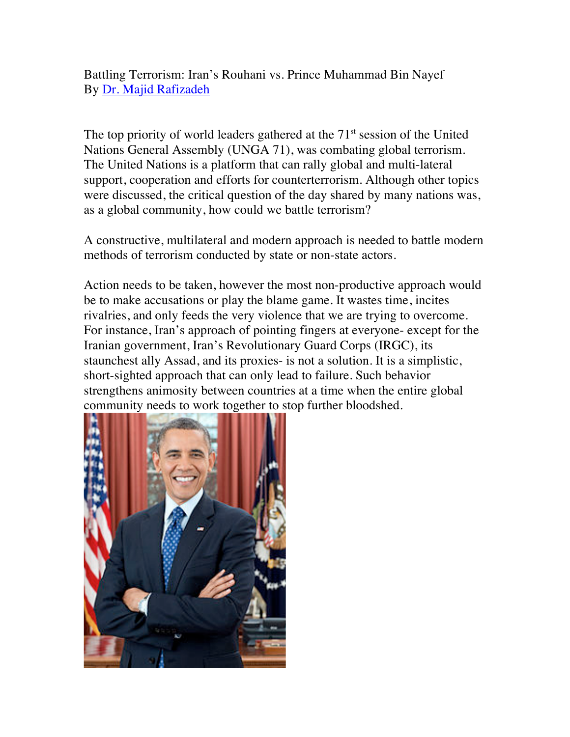Battling Terrorism: Iran's Rouhani vs. Prince Muhammad Bin Nayef By Dr. Majid Rafizadeh

The top priority of world leaders gathered at the  $71<sup>st</sup>$  session of the United Nations General Assembly (UNGA 71), was combating global terrorism. The United Nations is a platform that can rally global and multi-lateral support, cooperation and efforts for counterterrorism. Although other topics were discussed, the critical question of the day shared by many nations was, as a global community, how could we battle terrorism?

A constructive, multilateral and modern approach is needed to battle modern methods of terrorism conducted by state or non-state actors.

Action needs to be taken, however the most non-productive approach would be to make accusations or play the blame game. It wastes time, incites rivalries, and only feeds the very violence that we are trying to overcome. For instance, Iran's approach of pointing fingers at everyone- except for the Iranian government, Iran's Revolutionary Guard Corps (IRGC), its staunchest ally Assad, and its proxies- is not a solution. It is a simplistic, short-sighted approach that can only lead to failure. Such behavior strengthens animosity between countries at a time when the entire global community needs to work together to stop further bloodshed.

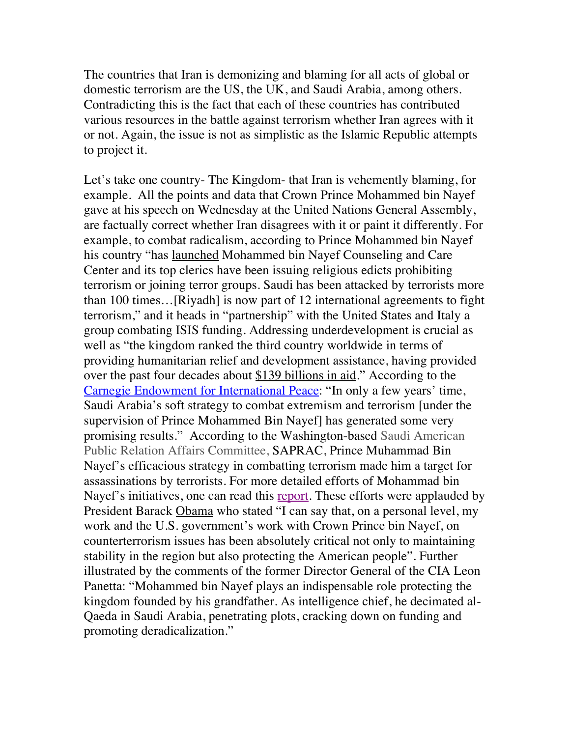The countries that Iran is demonizing and blaming for all acts of global or domestic terrorism are the US, the UK, and Saudi Arabia, among others. Contradicting this is the fact that each of these countries has contributed various resources in the battle against terrorism whether Iran agrees with it or not. Again, the issue is not as simplistic as the Islamic Republic attempts to project it.

Let's take one country- The Kingdom- that Iran is vehemently blaming, for example. All the points and data that Crown Prince Mohammed bin Nayef gave at his speech on Wednesday at the United Nations General Assembly, are factually correct whether Iran disagrees with it or paint it differently. For example, to combat radicalism, according to Prince Mohammed bin Nayef his country "has <u>launched</u> Mohammed bin Nayef Counseling and Care Center and its top clerics have been issuing religious edicts prohibiting terrorism or joining terror groups. Saudi has been attacked by terrorists more than 100 times…[Riyadh] is now part of 12 international agreements to fight terrorism," and it heads in "partnership" with the United States and Italy a group combating ISIS funding. Addressing underdevelopment is crucial as well as "the kingdom ranked the third country worldwide in terms of providing humanitarian relief and development assistance, having provided over the past four decades about \$139 billions in aid." According to the Carnegie Endowment for International Peace: "In only a few years' time, Saudi Arabia's soft strategy to combat extremism and terrorism [under the supervision of Prince Mohammed Bin Nayef] has generated some very promising results." According to the Washington-based Saudi American Public Relation Affairs Committee, SAPRAC, Prince Muhammad Bin Nayef's efficacious strategy in combatting terrorism made him a target for assassinations by terrorists. For more detailed efforts of Mohammad bin Nayef's initiatives, one can read this report. These efforts were applauded by President Barack Obama who stated "I can say that, on a personal level, my work and the U.S. government's work with Crown Prince bin Nayef, on counterterrorism issues has been absolutely critical not only to maintaining stability in the region but also protecting the American people". Further illustrated by the comments of the former Director General of the CIA Leon Panetta: "Mohammed bin Nayef plays an indispensable role protecting the kingdom founded by his grandfather. As intelligence chief, he decimated al-Qaeda in Saudi Arabia, penetrating plots, cracking down on funding and promoting deradicalization."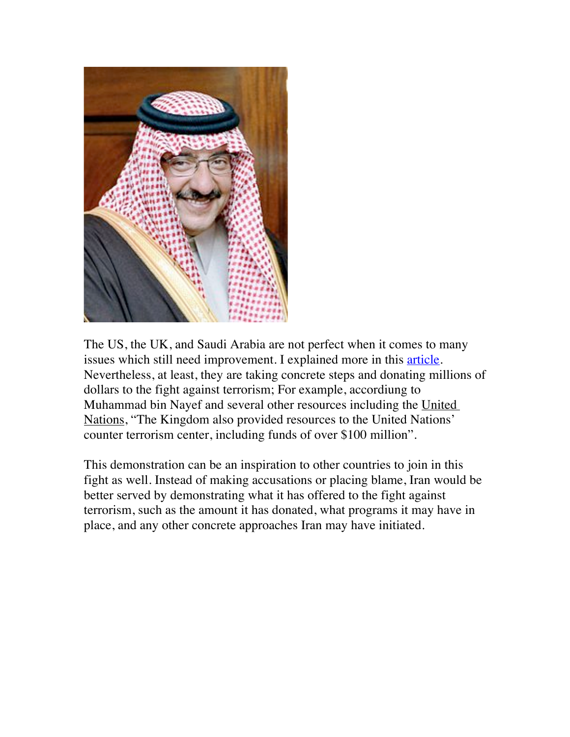

The US, the UK, and Saudi Arabia are not perfect when it comes to many issues which still need improvement. I explained more in this article. Nevertheless, at least, they are taking concrete steps and donating millions of dollars to the fight against terrorism; For example, accordiung to Muhammad bin Nayef and several other resources including the United Nations, "The Kingdom also provided resources to the United Nations' counter terrorism center, including funds of over \$100 million".

This demonstration can be an inspiration to other countries to join in this fight as well. Instead of making accusations or placing blame, Iran would be better served by demonstrating what it has offered to the fight against terrorism, such as the amount it has donated, what programs it may have in place, and any other concrete approaches Iran may have initiated.